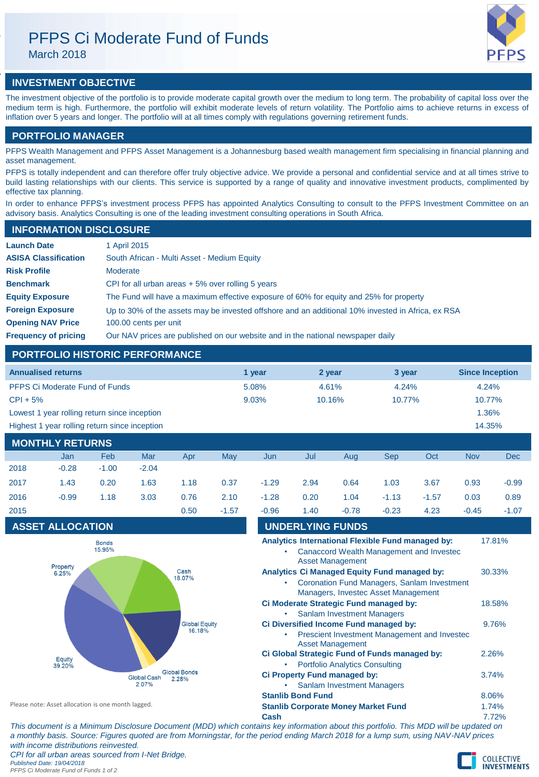# PFPS Ci Moderate Fund of Funds

March 2018



# **INVESTMENT OBJECTIVE**

The investment objective of the portfolio is to provide moderate capital growth over the medium to long term. The probability of capital loss over the medium term is high. Furthermore, the portfolio will exhibit moderate levels of return volatility. The Portfolio aims to achieve returns in excess of inflation over 5 years and longer. The portfolio will at all times comply with regulations governing retirement funds.

# **PORTFOLIO MANAGER**

PFPS Wealth Management and PFPS Asset Management is a Johannesburg based wealth management firm specialising in financial planning and asset management.

PFPS is totally independent and can therefore offer truly objective advice. We provide a personal and confidential service and at all times strive to build lasting relationships with our clients. This service is supported by a range of quality and innovative investment products, complimented by effective tax planning.

In order to enhance PFPS's investment process PFPS has appointed Analytics Consulting to consult to the PFPS Investment Committee on an advisory basis. Analytics Consulting is one of the leading investment consulting operations in South Africa.

| <b>INFORMATION DISCLOSURE</b> |                                                                                                   |
|-------------------------------|---------------------------------------------------------------------------------------------------|
| <b>Launch Date</b>            | 1 April 2015                                                                                      |
| <b>ASISA Classification</b>   | South African - Multi Asset - Medium Equity                                                       |
| <b>Risk Profile</b>           | Moderate                                                                                          |
| <b>Benchmark</b>              | CPI for all urban areas $+5\%$ over rolling 5 years                                               |
| <b>Equity Exposure</b>        | The Fund will have a maximum effective exposure of 60% for equity and 25% for property            |
| <b>Foreign Exposure</b>       | Up to 30% of the assets may be invested offshore and an additional 10% invested in Africa, ex RSA |
| <b>Opening NAV Price</b>      | 100.00 cents per unit                                                                             |
| <b>Frequency of pricing</b>   | Our NAV prices are published on our website and in the national newspaper daily                   |

# **PORTFOLIO HISTORIC PERFORMANCE**

| <b>Annualised returns</b>                               | 1 year | 2 year | 3 year    | <b>Since Inception</b> |  |  |
|---------------------------------------------------------|--------|--------|-----------|------------------------|--|--|
| PFPS Ci Moderate Fund of Funds                          | 5.08%  | 4.61%  | 4.24%     | 4.24%                  |  |  |
| $CPI + 5%$                                              | 9.03%  | 10.16% | $10.77\%$ | 10.77%                 |  |  |
| Lowest 1 year rolling return since inception            |        |        |           | 1.36%                  |  |  |
| Highest 1 year rolling return since inception<br>14.35% |        |        |           |                        |  |  |
| <b>MONTHLY RETURNS</b>                                  |        |        |           |                        |  |  |

|      | Jan     | Feb     | Mar     | Apr  | May     | Jun     | Jul  | Aug     | Sep     | Oct     | <b>Nov</b> | <b>Dec</b> |
|------|---------|---------|---------|------|---------|---------|------|---------|---------|---------|------------|------------|
| 2018 | $-0.28$ | $-1.00$ | $-2.04$ |      |         |         |      |         |         |         |            |            |
| 2017 | 1.43    | 0.20    | 1.63    | 1.18 | 0.37    | $-1.29$ | 2.94 | 0.64    | 1.03    | 3.67    | 0.93       | $-0.99$    |
| 2016 | $-0.99$ | 1.18    | 3.03    | 0.76 | 2.10    | $-1.28$ | 0.20 | 1.04    | $-1.13$ | $-1.57$ | 0.03       | 0.89       |
| 2015 |         |         |         | 0.50 | $-1.57$ | $-0.96$ | 1.40 | $-0.78$ | $-0.23$ | 4.23    | $-0.45$    | $-1.07$    |

## **ASSET ALLOCATION**



| 2015                                               |                         |  |                                                             | 0.50 | $-1.57$ | $-0.96$                                    | 1.40                                   | $-0.78$                                                                                                                            | $-0.23$                                                                                       | 4.23   | $-0.45$ | $-1.07$ |
|----------------------------------------------------|-------------------------|--|-------------------------------------------------------------|------|---------|--------------------------------------------|----------------------------------------|------------------------------------------------------------------------------------------------------------------------------------|-----------------------------------------------------------------------------------------------|--------|---------|---------|
|                                                    | <b>ASSET ALLOCATION</b> |  |                                                             |      |         |                                            |                                        | <b>UNDERLYING FUNDS</b>                                                                                                            |                                                                                               |        |         |         |
| <b>Bonds</b><br>15.95%                             |                         |  |                                                             |      |         |                                            |                                        | <b>Asset Management</b>                                                                                                            | Analytics International Flexible Fund managed by:<br>Canaccord Wealth Management and Investec |        |         | 17.81%  |
| Property<br>Cash<br>6.25%<br>18.07%                |                         |  |                                                             |      |         |                                            |                                        | Analytics Ci Managed Equity Fund managed by:<br>Coronation Fund Managers, Sanlam Investment<br>Managers, Investec Asset Management |                                                                                               |        | 30.33%  |         |
|                                                    |                         |  |                                                             |      |         | <b>Sanlam Investment Managers</b>          | Ci Moderate Strategic Fund managed by: |                                                                                                                                    |                                                                                               | 18.58% |         |         |
| <b>Global Equity</b><br>16.18%                     |                         |  |                                                             |      |         |                                            |                                        | <b>Asset Management</b>                                                                                                            | Ci Diversified Income Fund managed by:<br>Prescient Investment Management and Invested        |        |         | 9.76%   |
| Equity<br>39.20%                                   |                         |  |                                                             |      |         |                                            |                                        | <b>Portfolio Analytics Consulting</b>                                                                                              | Ci Global Strategic Fund of Funds managed by:                                                 |        |         | 2.26%   |
|                                                    |                         |  | <b>Global Bonds</b><br><b>Global Cash</b><br>2.28%<br>2.07% |      |         |                                            |                                        | Ci Property Fund managed by:<br><b>Sanlam Investment Managers</b>                                                                  |                                                                                               |        |         | 3.74%   |
|                                                    |                         |  |                                                             |      |         | <b>Stanlib Bond Fund</b>                   |                                        |                                                                                                                                    |                                                                                               |        |         | 8.06%   |
| Please note: Asset allocation is one month lagged. |                         |  |                                                             |      |         | <b>Stanlib Corporate Money Market Fund</b> |                                        |                                                                                                                                    |                                                                                               | 1.74%  |         |         |
|                                                    |                         |  |                                                             |      |         |                                            |                                        |                                                                                                                                    |                                                                                               |        | -----   |         |

**Cash** 7.72% *This document is a Minimum Disclosure Document (MDD) which contains key information about this portfolio. This MDD will be updated on a monthly basis. Source: Figures quoted are from Morningstar, for the period ending March 2018 for a lump sum, using NAV-NAV prices with income distributions reinvested. CPI for all urban areas sourced from I-Net Bridge. Published Date: 19/04/2018*